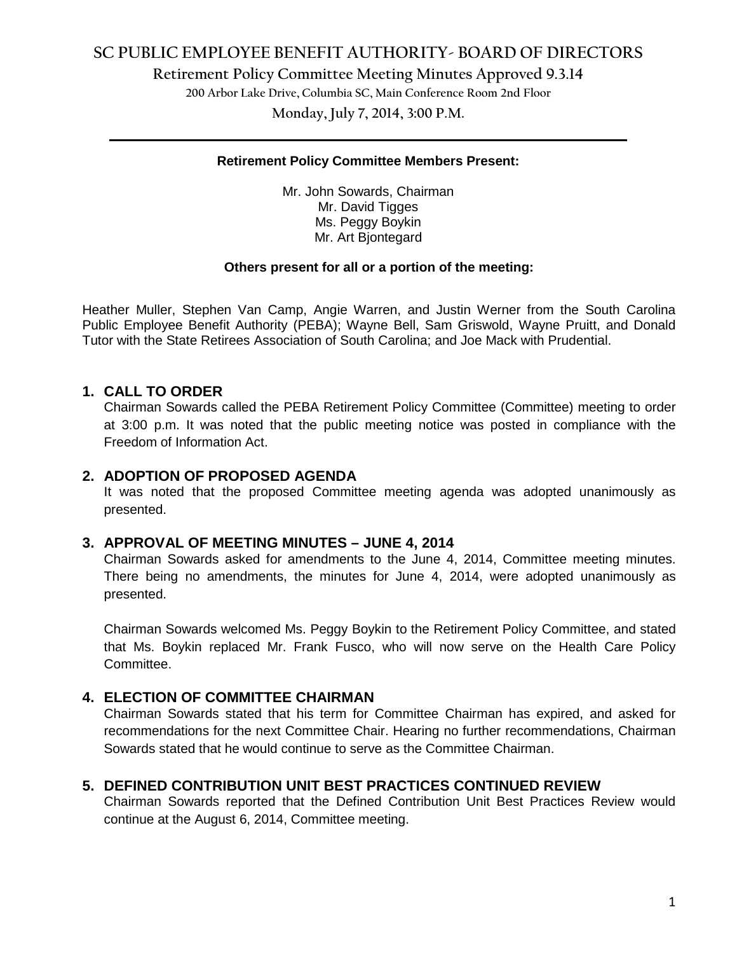# **SC PUBLIC EMPLOYEE BENEFIT AUTHORITY- BOARD OF DIRECTORS**

**Retirement Policy Committee Meeting Minutes Approved 9.3.14**

**200 Arbor Lake Drive, Columbia SC, Main Conference Room 2nd Floor**

**Monday, July 7, 2014, 3:00 P.M. \_\_\_\_\_\_\_\_\_\_\_\_\_\_\_\_\_\_\_\_\_\_\_\_\_\_\_\_\_\_\_\_\_\_\_\_\_\_\_\_\_\_\_\_\_\_\_\_\_\_\_\_\_\_\_\_\_\_\_\_\_\_\_\_\_\_\_\_\_\_\_\_**

### **Retirement Policy Committee Members Present:**

Mr. John Sowards, Chairman Mr. David Tigges Ms. Peggy Boykin Mr. Art Bjontegard

#### **Others present for all or a portion of the meeting:**

Heather Muller, Stephen Van Camp, Angie Warren, and Justin Werner from the South Carolina Public Employee Benefit Authority (PEBA); Wayne Bell, Sam Griswold, Wayne Pruitt, and Donald Tutor with the State Retirees Association of South Carolina; and Joe Mack with Prudential.

# **1. CALL TO ORDER**

Chairman Sowards called the PEBA Retirement Policy Committee (Committee) meeting to order at 3:00 p.m. It was noted that the public meeting notice was posted in compliance with the Freedom of Information Act.

### **2. ADOPTION OF PROPOSED AGENDA**

It was noted that the proposed Committee meeting agenda was adopted unanimously as presented.

### **3. APPROVAL OF MEETING MINUTES – JUNE 4, 2014**

Chairman Sowards asked for amendments to the June 4, 2014, Committee meeting minutes. There being no amendments, the minutes for June 4, 2014, were adopted unanimously as presented.

Chairman Sowards welcomed Ms. Peggy Boykin to the Retirement Policy Committee, and stated that Ms. Boykin replaced Mr. Frank Fusco, who will now serve on the Health Care Policy Committee.

## **4. ELECTION OF COMMITTEE CHAIRMAN**

Chairman Sowards stated that his term for Committee Chairman has expired, and asked for recommendations for the next Committee Chair. Hearing no further recommendations, Chairman Sowards stated that he would continue to serve as the Committee Chairman.

## **5. DEFINED CONTRIBUTION UNIT BEST PRACTICES CONTINUED REVIEW**

Chairman Sowards reported that the Defined Contribution Unit Best Practices Review would continue at the August 6, 2014, Committee meeting.